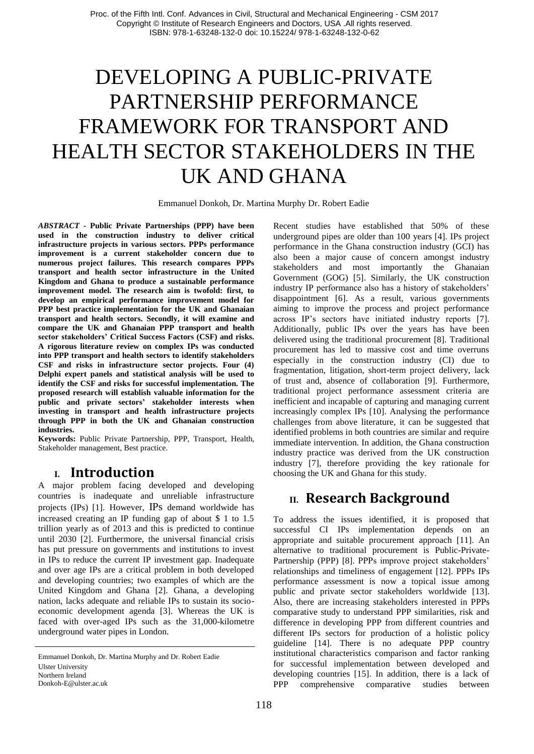# DEVELOPING A PUBLIC-PRIVATE PARTNERSHIP PERFORMANCE FRAMEWORK FOR TRANSPORT AND HEALTH SECTOR STAKEHOLDERS IN THE UK AND GHANA

Emmanuel Donkoh, Dr. Martina Murphy Dr. Robert Eadie

*ABSTRACT* **- Public Private Partnerships (PPP) have been used in the construction industry to deliver critical infrastructure projects in various sectors. PPPs performance improvement is a current stakeholder concern due to numerous project failures. This research compares PPPs transport and health sector infrastructure in the United Kingdom and Ghana to produce a sustainable performance improvement model. The research aim is twofold: first, to develop an empirical performance improvement model for PPP best practice implementation for the UK and Ghanaian transport and health sectors. Secondly, it will examine and compare the UK and Ghanaian PPP transport and health sector stakeholders' Critical Success Factors (CSF) and risks. A rigorous literature review on complex IPs was conducted into PPP transport and health sectors to identify stakeholders CSF and risks in infrastructure sector projects. Four (4) Delphi expert panels and statistical analysis will be used to identify the CSF and risks for successful implementation. The proposed research will establish valuable information for the public and private sectors' stakeholder interests when investing in transport and health infrastructure projects through PPP in both the UK and Ghanaian construction industries.**

**Keywords:** Public Private Partnership, PPP, Transport, Health, Stakeholder management, Best practice.

#### **I. Introduction**

A major problem facing developed and developing countries is inadequate and unreliable infrastructure projects (IPs) [1]. However, IPs demand worldwide has increased creating an IP funding gap of about \$ 1 to 1.5 trillion yearly as of 2013 and this is predicted to continue until 2030 [2]. Furthermore, the universal financial crisis has put pressure on governments and institutions to invest in IPs to reduce the current IP investment gap. Inadequate and over age IPs are a critical problem in both developed and developing countries; two examples of which are the United Kingdom and Ghana [2]. Ghana, a developing nation, lacks adequate and reliable IPs to sustain its socioeconomic development agenda [3]. Whereas the UK is faced with over-aged IPs such as the 31,000-kilometre underground water pipes in London.

Emmanuel Donkoh, Dr. Martina Murphy and Dr. Robert Eadie Ulster University Northern Ireland Donkoh-E@ulster.ac.uk

Recent studies have established that 50% of these underground pipes are older than 100 years [4]. IPs project performance in the Ghana construction industry (GCI) has also been a major cause of concern amongst industry stakeholders and most importantly the Ghanaian Government (GOG) [5]. Similarly, the UK construction industry IP performance also has a history of stakeholders' disappointment [6]. As a result, various governments aiming to improve the process and project performance across IP's sectors have initiated industry reports [7]. Additionally, public IPs over the years has have been delivered using the traditional procurement [8]. Traditional procurement has led to massive cost and time overruns especially in the construction industry (CI) due to fragmentation, litigation, short-term project delivery, lack of trust and, absence of collaboration [9]. Furthermore, traditional project performance assessment criteria are inefficient and incapable of capturing and managing current increasingly complex IPs [10]. Analysing the performance challenges from above literature, it can be suggested that identified problems in both countries are similar and require immediate intervention. In addition, the Ghana construction industry practice was derived from the UK construction industry [7], therefore providing the key rationale for choosing the UK and Ghana for this study.

## **II. Research Background**

To address the issues identified, it is proposed that successful CI IPs implementation depends on an appropriate and suitable procurement approach [11]. An alternative to traditional procurement is Public-Private-Partnership (PPP) [8]. PPPs improve project stakeholders' relationships and timeliness of engagement [12]. PPPs IPs performance assessment is now a topical issue among public and private sector stakeholders worldwide [13]. Also, there are increasing stakeholders interested in PPPs comparative study to understand PPP similarities, risk and difference in developing PPP from different countries and different IPs sectors for production of a holistic policy guideline [14]. There is no adequate PPP country institutional characteristics comparison and factor ranking for successful implementation between developed and developing countries [15]. In addition, there is a lack of PPP comprehensive comparative studies between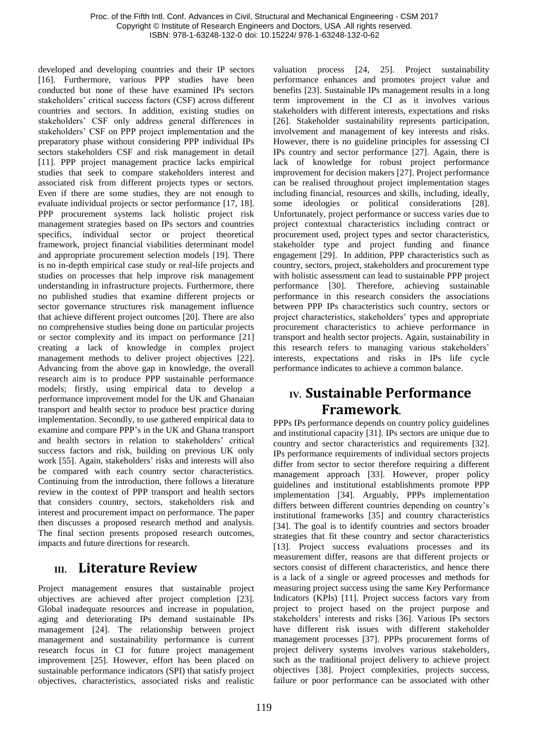developed and developing countries and their IP sectors [16]. Furthermore, various PPP studies have been conducted but none of these have examined IPs sectors stakeholders' critical success factors (CSF) across different countries and sectors. In addition, existing studies on stakeholders' CSF only address general differences in stakeholders' CSF on PPP project implementation and the preparatory phase without considering PPP individual IPs sectors stakeholders CSF and risk management in detail [11]. PPP project management practice lacks empirical studies that seek to compare stakeholders interest and associated risk from different projects types or sectors. Even if there are some studies, they are not enough to evaluate individual projects or sector performance [17, 18]. PPP procurement systems lack holistic project risk management strategies based on IPs sectors and countries specifics, individual sector or project theoretical framework, project financial viabilities determinant model and appropriate procurement selection models [19]. There is no in-depth empirical case study or real-life projects and studies on processes that help improve risk management understanding in infrastructure projects. Furthermore, there no published studies that examine different projects or sector governance structures risk management influence that achieve different project outcomes [20]. There are also no comprehensive studies being done on particular projects or sector complexity and its impact on performance [21] creating a lack of knowledge in complex project management methods to deliver project objectives [22]. Advancing from the above gap in knowledge, the overall research aim is to produce PPP sustainable performance models; firstly, using empirical data to develop a performance improvement model for the UK and Ghanaian transport and health sector to produce best practice during implementation. Secondly, to use gathered empirical data to examine and compare PPP's in the UK and Ghana transport and health sectors in relation to stakeholders' critical success factors and risk, building on previous UK only work [55]. Again, stakeholders' risks and interests will also be compared with each country sector characteristics. Continuing from the introduction, there follows a literature review in the context of PPP transport and health sectors that considers country, sectors, stakeholders risk and interest and procurement impact on performance. The paper then discusses a proposed research method and analysis. The final section presents proposed research outcomes, impacts and future directions for research.

### **III. Literature Review**

Project management ensures that sustainable project objectives are achieved after project completion [23]. Global inadequate resources and increase in population, aging and deteriorating IPs demand sustainable IPs management [24]. The relationship between project management and sustainability performance is current research focus in CI for future project management improvement [25]. However, effort has been placed on sustainable performance indicators (SPI) that satisfy project objectives, characteristics, associated risks and realistic

valuation process [24, 25]. Project sustainability performance enhances and promotes project value and benefits [23]. Sustainable IPs management results in a long term improvement in the CI as it involves various stakeholders with different interests, expectations and risks [26]. Stakeholder sustainability represents participation, involvement and management of key interests and risks. However, there is no guideline principles for assessing CI IPs country and sector performance [27]. Again, there is lack of knowledge for robust project performance improvement for decision makers [27]. Project performance can be realised throughout project implementation stages including financial, resources and skills, including, ideally, some ideologies or political considerations [28]. Unfortunately, project performance or success varies due to project contextual characteristics including contract or procurement used, project types and sector characteristics, stakeholder type and project funding and finance engagement [29]. In addition, PPP characteristics such as country, sectors, project, stakeholders and procurement type with holistic assessment can lead to sustainable PPP project performance [30]. Therefore, achieving sustainable performance in this research considers the associations between PPP IPs characteristics such country, sectors or project characteristics, stakeholders' types and appropriate procurement characteristics to achieve performance in transport and health sector projects. Again, sustainability in this research refers to managing various stakeholders' interests, expectations and risks in IPs life cycle performance indicates to achieve a common balance.

## **IV. Sustainable Performance Framework.**

PPPs IPs performance depends on country policy guidelines and institutional capacity [31]. IPs sectors are unique due to country and sector characteristics and requirements [32]. IPs performance requirements of individual sectors projects differ from sector to sector therefore requiring a different management approach [33]. However, proper policy guidelines and institutional establishments promote PPP implementation [34]. Arguably, PPPs implementation differs between different countries depending on country's institutional frameworks [35] and country characteristics [34]. The goal is to identify countries and sectors broader strategies that fit these country and sector characteristics [13]. Project success evaluations processes and its measurement differ, reasons are that different projects or sectors consist of different characteristics, and hence there is a lack of a single or agreed processes and methods for measuring project success using the same Key Performance Indicators (KPIs) [11]. Project success factors vary from project to project based on the project purpose and stakeholders' interests and risks [36]. Various IPs sectors have different risk issues with different stakeholder management processes [37]. PPPs procurement forms of project delivery systems involves various stakeholders, such as the traditional project delivery to achieve project objectives [38]. Project complexities, projects success, failure or poor performance can be associated with other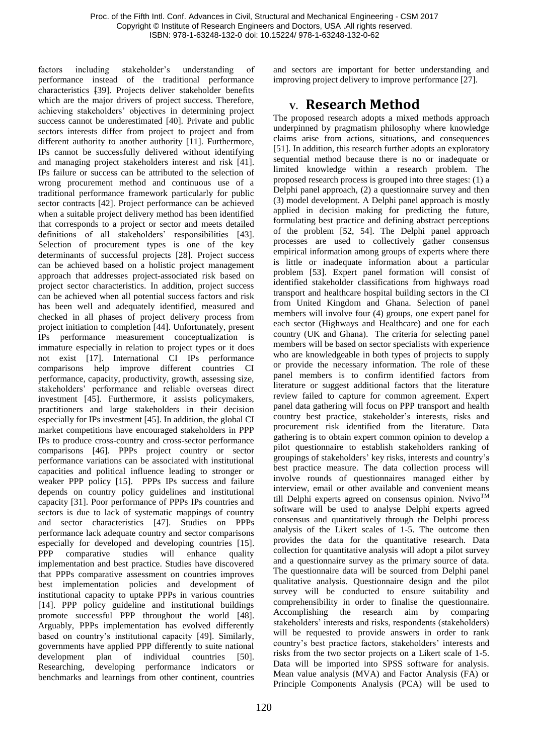factors including stakeholder's understanding of performance instead of the traditional performance characteristics [39]. Projects deliver stakeholder benefits which are the major drivers of project success. Therefore, achieving stakeholders' objectives in determining project success cannot be underestimated [40]. Private and public sectors interests differ from project to project and from different authority to another authority [11]. Furthermore, IPs cannot be successfully delivered without identifying and managing project stakeholders interest and risk [41]. IPs failure or success can be attributed to the selection of wrong procurement method and continuous use of a traditional performance framework particularly for public sector contracts [42]. Project performance can be achieved when a suitable project delivery method has been identified that corresponds to a project or sector and meets detailed definitions of all stakeholders' responsibilities [43]. Selection of procurement types is one of the key determinants of successful projects [28]. Project success can be achieved based on a holistic project management approach that addresses project-associated risk based on project sector characteristics. In addition, project success can be achieved when all potential success factors and risk has been well and adequately identified, measured and checked in all phases of project delivery process from project initiation to completion [44]. Unfortunately, present IPs performance measurement conceptualization is immature especially in relation to project types or it does not exist [17]. International CI IPs performance comparisons help improve different countries CI performance, capacity, productivity, growth, assessing size, stakeholders' performance and reliable overseas direct investment [45]. Furthermore, it assists policymakers, practitioners and large stakeholders in their decision especially for IPs investment [45]. In addition, the global CI market competitions have encouraged stakeholders in PPP IPs to produce cross-country and cross-sector performance comparisons [46]. PPPs project country or sector performance variations can be associated with institutional capacities and political influence leading to stronger or weaker PPP policy [15]. PPPs IPs success and failure depends on country policy guidelines and institutional capacity [31]. Poor performance of PPPs IPs countries and sectors is due to lack of systematic mappings of country and sector characteristics [47]. Studies on PPPs performance lack adequate country and sector comparisons especially for developed and developing countries [15].<br>PPP comparative studies will enhance quality PPP comparative studies will enhance quality implementation and best practice. Studies have discovered that PPPs comparative assessment on countries improves best implementation policies and development of institutional capacity to uptake PPPs in various countries [14]. PPP policy guideline and institutional buildings promote successful PPP throughout the world [48]. Arguably, PPPs implementation has evolved differently based on country's institutional capacity [49]. Similarly, governments have applied PPP differently to suite national development plan of individual countries [50]. Researching, developing performance indicators or benchmarks and learnings from other continent, countries

and sectors are important for better understanding and improving project delivery to improve performance [27].

## **V. Research Method**

The proposed research adopts a mixed methods approach underpinned by pragmatism philosophy where knowledge claims arise from actions, situations, and consequences [51]. In addition, this research further adopts an exploratory sequential method because there is no or inadequate or limited knowledge within a research problem. The proposed research process is grouped into three stages: (1) a Delphi panel approach, (2) a questionnaire survey and then (3) model development. A Delphi panel approach is mostly applied in decision making for predicting the future, formulating best practice and defining abstract perceptions of the problem [52, 54]. The Delphi panel approach processes are used to collectively gather consensus empirical information among groups of experts where there is little or inadequate information about a particular problem [53]. Expert panel formation will consist of identified stakeholder classifications from highways road transport and healthcare hospital building sectors in the CI from United Kingdom and Ghana. Selection of panel members will involve four (4) groups, one expert panel for each sector (Highways and Healthcare) and one for each country (UK and Ghana). The criteria for selecting panel members will be based on sector specialists with experience who are knowledgeable in both types of projects to supply or provide the necessary information. The role of these panel members is to confirm identified factors from literature or suggest additional factors that the literature review failed to capture for common agreement. Expert panel data gathering will focus on PPP transport and health country best practice, stakeholder's interests, risks and procurement risk identified from the literature. Data gathering is to obtain expert common opinion to develop a pilot questionnaire to establish stakeholders ranking of groupings of stakeholders' key risks, interests and country's best practice measure. The data collection process will involve rounds of questionnaires managed either by interview, email or other available and convenient means till Delphi experts agreed on consensus opinion. Nvivo<sup>TM</sup> software will be used to analyse Delphi experts agreed consensus and quantitatively through the Delphi process analysis of the Likert scales of 1-5. The outcome then provides the data for the quantitative research. Data collection for quantitative analysis will adopt a pilot survey and a questionnaire survey as the primary source of data. The questionnaire data will be sourced from Delphi panel qualitative analysis. Questionnaire design and the pilot survey will be conducted to ensure suitability and comprehensibility in order to finalise the questionnaire. Accomplishing the research aim by comparing stakeholders' interests and risks, respondents (stakeholders) will be requested to provide answers in order to rank country's best practice factors, stakeholders' interests and risks from the two sector projects on a Likert scale of 1-5. Data will be imported into SPSS software for analysis. Mean value analysis (MVA) and Factor Analysis (FA) or Principle Components Analysis (PCA) will be used to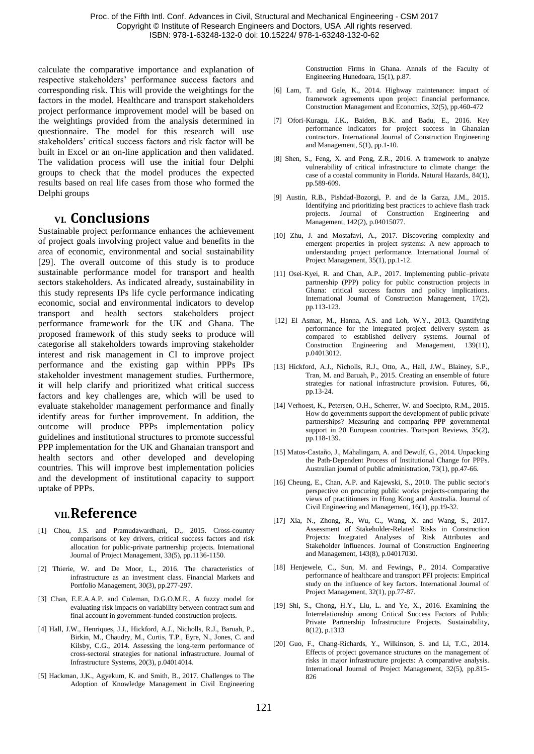calculate the comparative importance and explanation of respective stakeholders' performance success factors and corresponding risk. This will provide the weightings for the factors in the model. Healthcare and transport stakeholders project performance improvement model will be based on the weightings provided from the analysis determined in questionnaire. The model for this research will use stakeholders' critical success factors and risk factor will be built in Excel or an on-line application and then validated. The validation process will use the initial four Delphi groups to check that the model produces the expected results based on real life cases from those who formed the Delphi groups

#### **VI. Conclusions**

Sustainable project performance enhances the achievement of project goals involving project value and benefits in the area of economic, environmental and social sustainability [29]. The overall outcome of this study is to produce sustainable performance model for transport and health sectors stakeholders. As indicated already, sustainability in this study represents IPs life cycle performance indicating economic, social and environmental indicators to develop transport and health sectors stakeholders project performance framework for the UK and Ghana. The proposed framework of this study seeks to produce will categorise all stakeholders towards improving stakeholder interest and risk management in CI to improve project performance and the existing gap within PPPs IPs stakeholder investment management studies. Furthermore, it will help clarify and prioritized what critical success factors and key challenges are, which will be used to evaluate stakeholder management performance and finally identify areas for further improvement. In addition, the outcome will produce PPPs implementation policy guidelines and institutional structures to promote successful PPP implementation for the UK and Ghanaian transport and health sectors and other developed and developing countries. This will improve best implementation policies and the development of institutional capacity to support uptake of PPPs.

#### **VII.Reference**

- [1] Chou, J.S. and Pramudawardhani, D., 2015. Cross-country comparisons of key drivers, critical success factors and risk allocation for public-private partnership projects. International Journal of Project Management, 33(5), pp.1136-1150.
- [2] Thierie, W. and De Moor, L., 2016. The characteristics of infrastructure as an investment class. Financial Markets and Portfolio Management, 30(3), pp.277-297.
- [3] Chan, E.E.A.A.P. and Coleman, D.G.O.M.E., A fuzzy model for evaluating risk impacts on variability between contract sum and final account in government-funded construction projects.
- [4] Hall, J.W., Henriques, J.J., Hickford, A.J., Nicholls, R.J., Baruah, P., Birkin, M., Chaudry, M., Curtis, T.P., Eyre, N., Jones, C. and Kilsby, C.G., 2014. Assessing the long-term performance of cross-sectoral strategies for national infrastructure. Journal of Infrastructure Systems, 20(3), p.04014014.
- [5] Hackman, J.K., Agyekum, K. and Smith, B., 2017. Challenges to The Adoption of Knowledge Management in Civil Engineering

Construction Firms in Ghana. Annals of the Faculty of Engineering Hunedoara, 15(1), p.87.

- [6] Lam, T. and Gale, K., 2014. Highway maintenance: impact of framework agreements upon project financial performance. Construction Management and Economics, 32(5), pp.460-472
- [7] Ofori-Kuragu, J.K., Baiden, B.K. and Badu, E., 2016. Key performance indicators for project success in Ghanaian contractors. International Journal of Construction Engineering and Management, 5(1), pp.1-10.
- [8] Shen, S., Feng, X. and Peng, Z.R., 2016. A framework to analyze vulnerability of critical infrastructure to climate change: the case of a coastal community in Florida. Natural Hazards, 84(1), pp.589-609.
- [9] Austin, R.B., Pishdad-Bozorgi, P. and de la Garza, J.M., 2015. Identifying and prioritizing best practices to achieve flash track projects. Journal of Construction Engineering and Management, 142(2), p.04015077.
- [10] Zhu, J. and Mostafavi, A., 2017. Discovering complexity and emergent properties in project systems: A new approach to understanding project performance. International Journal of Project Management, 35(1), pp.1-12.
- [11] Osei-Kyei, R. and Chan, A.P., 2017. Implementing public–private partnership (PPP) policy for public construction projects in Ghana: critical success factors and policy implications. International Journal of Construction Management, 17(2), pp.113-123.
- [12] El Asmar, M., Hanna, A.S. and Loh, W.Y., 2013. Quantifying performance for the integrated project delivery system as compared to established delivery systems. Journal of Construction Engineering and Management, 139(11), p.04013012.
- [13] Hickford, A.J., Nicholls, R.J., Otto, A., Hall, J.W., Blainey, S.P., Tran, M. and Baruah, P., 2015. Creating an ensemble of future strategies for national infrastructure provision. Futures, 66, pp.13-24.
- [14] Verhoest, K., Petersen, O.H., Scherrer, W. and Soecipto, R.M., 2015. How do governments support the development of public private partnerships? Measuring and comparing PPP governmental support in 20 European countries. Transport Reviews, 35(2), pp.118-139.
- [15] Matos-Castaño, J., Mahalingam, A. and Dewulf, G., 2014. Unpacking the Path‐Dependent Process of Institutional Change for PPPs. Australian journal of public administration, 73(1), pp.47-66.
- [16] Cheung, E., Chan, A.P. and Kajewski, S., 2010. The public sector's perspective on procuring public works projects‐comparing the views of practitioners in Hong Kong and Australia. Journal of Civil Engineering and Management, 16(1), pp.19-32.
- [17] Xia, N., Zhong, R., Wu, C., Wang, X. and Wang, S., 2017. Assessment of Stakeholder-Related Risks in Construction Projects: Integrated Analyses of Risk Attributes and Stakeholder Influences. Journal of Construction Engineering and Management, 143(8), p.04017030.
- [18] Henjewele, C., Sun, M. and Fewings, P., 2014. Comparative performance of healthcare and transport PFI projects: Empirical study on the influence of key factors. International Journal of Project Management, 32(1), pp.77-87.
- [19] Shi, S., Chong, H.Y., Liu, L. and Ye, X., 2016. Examining the Interrelationship among Critical Success Factors of Public Private Partnership Infrastructure Projects. Sustainability, 8(12), p.1313
- [20] Guo, F., Chang-Richards, Y., Wilkinson, S. and Li, T.C., 2014. Effects of project governance structures on the management of risks in major infrastructure projects: A comparative analysis. International Journal of Project Management, 32(5), pp.815- 826